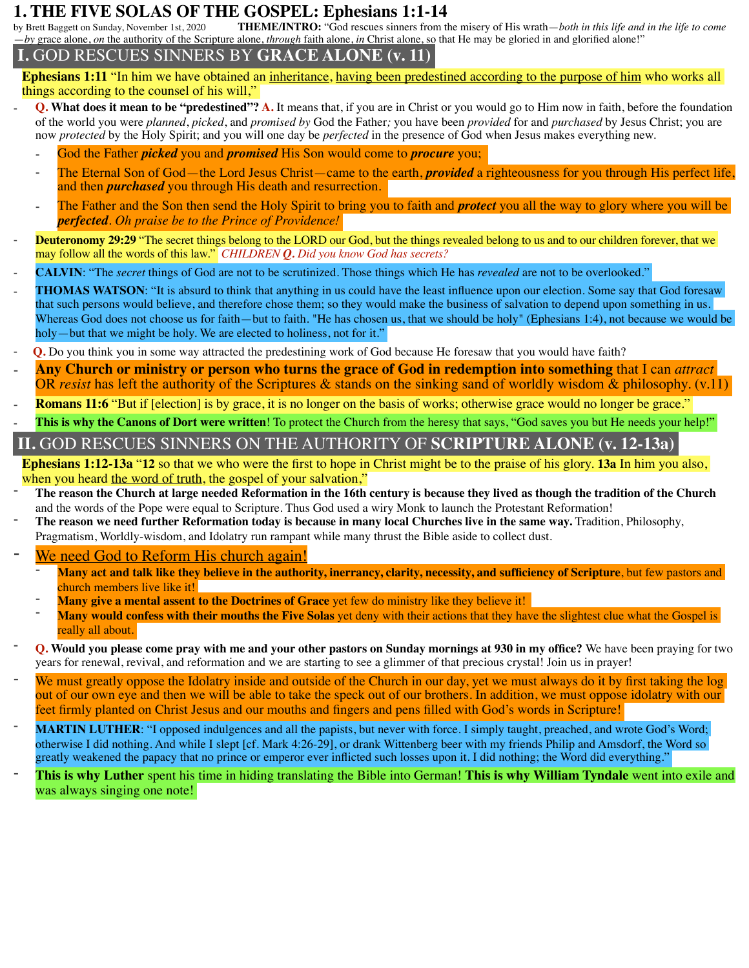# **1. THE FIVE SOLAS OF THE GOSPEL: Ephesians 1:1-14**<br>by Brett Baggett on Sunday, November 1st, 2020 THEME/INTRO: "God rescues sinners from t

**THEME/INTRO:** "God rescues sinners from the misery of His wrath—*both in this life and in the life to come* —*by* grace alone, *on* the authority of the Scripture alone, *through* faith alone, *in* Christ alone, so that He may be gloried in and glorified alone!"

## **I.** GOD RESCUES SINNERS BY **GRACE ALONE (v. 11)**

**Ephesians 1:11** "In him we have obtained an inheritance, having been predestined according to the purpose of him who works all things according to the counsel of his will,"

- **Q.** What does it mean to be "predestined"? A. It means that, if you are in Christ or you would go to Him now in faith, before the foundation of the world you were *planned*, *picked*, and *promised by* God the Father*;* you have been *provided* for and *purchased* by Jesus Christ; you are now *protected* by the Holy Spirit; and you will one day be *perfected* in the presence of God when Jesus makes everything new.
	- God the Father *picked* you and *promised* His Son would come to *procure* you;
	- The Eternal Son of God—the Lord Jesus Christ—came to the earth, *provided* a righteousness for you through His perfect life, and then *purchased* you through His death and resurrection.
	- ⁃ The Father and the Son then send the Holy Spirit to bring you to faith and *protect* you all the way to glory where you will be *perfected*. *Oh praise be to the Prince of Providence!*
- **Deuteronomy 29:29** "The secret things belong to the LORD our God, but the things revealed belong to us and to our children forever, that we may follow all the words of this law." *CHILDREN Q. Did you know God has secrets?*
- ⁃ **CALVIN**: "The *secret* things of God are not to be scrutinized. Those things which He has *revealed* are not to be overlooked."
- **THOMAS WATSON:** "It is absurd to think that anything in us could have the least influence upon our election. Some say that God foresaw that such persons would believe, and therefore chose them; so they would make the business of salvation to depend upon something in us. Whereas God does not choose us for faith—but to faith. "He has chosen us, that we should be holy" (Ephesians 1:4), not because we would be holy—but that we might be holy. We are elected to holiness, not for it."
- **Q.** Do you think you in some way attracted the predestining work of God because He foresaw that you would have faith?
- ⁃ **Any Church or ministry or person who turns the grace of God in redemption into something** that I can *attract*  OR *resist* has left the authority of the Scriptures & stands on the sinking sand of worldly wisdom & philosophy. (v.11)
- **Romans 11:6** "But if [election] is by grace, it is no longer on the basis of works; otherwise grace would no longer be grace."
- **This is why the Canons of Dort were written**! To protect the Church from the heresy that says, "God saves you but He needs your help!"

# **II.** GOD RESCUES SINNERS ON THE AUTHORITY OF **SCRIPTURE ALONE (v. 12-13a)**

**Ephesians 1:12-13a** "**12** so that we who were the first to hope in Christ might be to the praise of his glory. **13a** In him you also, when you heard <u>the word of truth,</u> the gospel of your salvation,"<br>The reason the Church at large needed Reformation in the 16th century is because they lived as though the tradition of the Church

- and the words of the Pope were equal to Scripture. Thus God used a wiry Monk to launch the Protestant Reformation!
- ⁃ **The reason we need further Reformation today is because in many local Churches live in the same way.** Tradition, Philosophy, Pragmatism, Worldly-wisdom, and Idolatry run rampant while many thrust the Bible aside to collect dust.

We need God to Reform His church again!

- **Many act and talk like they believe in the authority, inerrancy, clarity, necessity, and sufficiency of Scripture**, but few pastors and church members live like it!<br>**Many give a mental assent to the Doctrines of Grace** yet few do ministry like they believe it!
- 
- **Many would confess with their mouths the Five Solas** yet deny with their actions that they have the slightest clue what the Gospel is really all about.
- ⁃ **Q. Would you please come pray with me and your other pastors on Sunday mornings at 930 in my office?** We have been praying for two years for renewal, revival, and reformation and we are starting to see a glimmer of that precious crystal! Join us in prayer!
- We must greatly oppose the Idolatry inside and outside of the Church in our day, yet we must always do it by first taking the log out of our own eye and then we will be able to take the speck out of our brothers. In addition, we must oppose idolatry with our feet firmly planted on Christ Jesus and our mouths and fingers and pens filled with God's words in Scripture!
- **MARTIN LUTHER**: "I opposed indulgences and all the papists, but never with force. I simply taught, preached, and wrote God's Word; otherwise I did nothing. And while I slept [cf. Mark 4:26-29], or drank Wittenberg beer with my friends Philip and Amsdorf, the Word so greatly weakened the papacy that no prince or emperor ever inflicted such losses upon it. I did nothing; the Word did everything."
- ⁃ **This is why Luther** spent his time in hiding translating the Bible into German! **This is why William Tyndale** went into exile and was always singing one note!